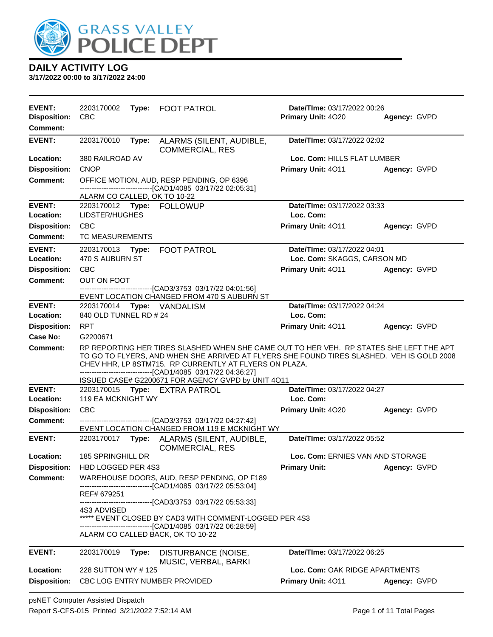

| <b>EVENT:</b><br><b>Disposition:</b><br>Comment:                     | 2203170002<br><b>CBC</b>                                         |       | Type: FOOT PATROL                                                                                                                                                                                                                                                                                                                                                    | Date/TIme: 03/17/2022 00:26<br>Primary Unit: 4020                                | Agency: GVPD |
|----------------------------------------------------------------------|------------------------------------------------------------------|-------|----------------------------------------------------------------------------------------------------------------------------------------------------------------------------------------------------------------------------------------------------------------------------------------------------------------------------------------------------------------------|----------------------------------------------------------------------------------|--------------|
| <b>EVENT:</b>                                                        | 2203170010                                                       | Type: | ALARMS (SILENT, AUDIBLE,<br><b>COMMERCIAL, RES</b>                                                                                                                                                                                                                                                                                                                   | Date/TIme: 03/17/2022 02:02                                                      |              |
| Location:<br><b>Disposition:</b><br><b>Comment:</b>                  | 380 RAILROAD AV<br><b>CNOP</b><br>ALARM CO CALLED, OK TO 10-22   |       | OFFICE MOTION, AUD, RESP PENDING, OP 6396<br>-------------------------[CAD1/4085 03/17/22 02:05:31]                                                                                                                                                                                                                                                                  | Loc. Com: HILLS FLAT LUMBER<br>Primary Unit: 4011                                | Agency: GVPD |
| <b>EVENT:</b><br>Location:<br><b>Disposition:</b><br><b>Comment:</b> | LIDSTER/HUGHES<br><b>CBC</b><br>TC MEASUREMENTS                  |       | 2203170012 Type: FOLLOWUP                                                                                                                                                                                                                                                                                                                                            | Date/TIme: 03/17/2022 03:33<br>Loc. Com:<br>Primary Unit: 4011                   | Agency: GVPD |
| <b>EVENT:</b><br>Location:<br><b>Disposition:</b><br>Comment:        | 2203170013 Type:<br>470 S AUBURN ST<br><b>CBC</b><br>OUT ON FOOT |       | <b>FOOT PATROL</b><br>---------------------------------[CAD3/3753 03/17/22 04:01:56]<br>EVENT LOCATION CHANGED FROM 470 S AUBURN ST                                                                                                                                                                                                                                  | Date/TIme: 03/17/2022 04:01<br>Loc. Com: SKAGGS, CARSON MD<br>Primary Unit: 4011 | Agency: GVPD |
| <b>EVENT:</b><br>Location:<br><b>Disposition:</b><br>Case No:        | 840 OLD TUNNEL RD # 24<br><b>RPT</b><br>G2200671                 |       | 2203170014 Type: VANDALISM                                                                                                                                                                                                                                                                                                                                           | Date/TIme: 03/17/2022 04:24<br>Loc. Com:<br>Primary Unit: 4011                   | Agency: GVPD |
| <b>Comment:</b>                                                      |                                                                  |       | RP REPORTING HER TIRES SLASHED WHEN SHE CAME OUT TO HER VEH. RP STATES SHE LEFT THE APT<br>TO GO TO FLYERS, AND WHEN SHE ARRIVED AT FLYERS SHE FOUND TIRES SLASHED. VEH IS GOLD 2008<br>CHEV HHR, LP 8STM715. RP CURRENTLY AT FLYERS ON PLAZA.<br>-------------------------------[CAD1/4085 03/17/22 04:36:27]<br>ISSUED CASE# G2200671 FOR AGENCY GVPD by UNIT 4011 |                                                                                  |              |
| <b>EVENT:</b><br>Location:                                           | <b>119 EA MCKNIGHT WY</b>                                        |       | 2203170015 Type: EXTRA PATROL                                                                                                                                                                                                                                                                                                                                        | Date/TIme: 03/17/2022 04:27<br>Loc. Com:                                         |              |
| <b>Disposition:</b><br><b>Comment:</b>                               | <b>CBC</b>                                                       |       | -------------------------------[CAD3/3753_03/17/22_04:27:42]<br>EVENT LOCATION CHANGED FROM 119 E MCKNIGHT WY                                                                                                                                                                                                                                                        | <b>Primary Unit: 4020</b>                                                        | Agency: GVPD |
| <b>EVENT:</b>                                                        |                                                                  |       | 2203170017 Type: ALARMS (SILENT, AUDIBLE,<br><b>COMMERCIAL, RES</b>                                                                                                                                                                                                                                                                                                  | Date/TIme: 03/17/2022 05:52                                                      |              |
| Location:                                                            | 185 SPRINGHILL DR                                                |       |                                                                                                                                                                                                                                                                                                                                                                      | Loc. Com: ERNIES VAN AND STORAGE                                                 |              |
| <b>Disposition:</b><br><b>Comment:</b>                               | HBD LOGGED PER 4S3<br>REF# 679251<br><b>4S3 ADVISED</b>          |       | WAREHOUSE DOORS, AUD, RESP PENDING, OP F189<br>-------------------------[CAD1/4085 03/17/22 05:53:04]<br>-------------------------[CAD3/3753_03/17/22_05:53:33]<br>***** EVENT CLOSED BY CAD3 WITH COMMENT-LOGGED PER 4S3                                                                                                                                            | <b>Primary Unit:</b>                                                             | Agency: GVPD |
|                                                                      |                                                                  |       | -------------------------------[CAD1/4085 03/17/22 06:28:59]<br>ALARM CO CALLED BACK, OK TO 10-22                                                                                                                                                                                                                                                                    |                                                                                  |              |
| <b>EVENT:</b>                                                        | 2203170019                                                       | Type: | DISTURBANCE (NOISE,<br>MUSIC, VERBAL, BARKI                                                                                                                                                                                                                                                                                                                          | Date/TIme: 03/17/2022 06:25                                                      |              |
| Location:                                                            | 228 SUTTON WY #125                                               |       |                                                                                                                                                                                                                                                                                                                                                                      | Loc. Com: OAK RIDGE APARTMENTS                                                   |              |
| <b>Disposition:</b>                                                  |                                                                  |       | CBC LOG ENTRY NUMBER PROVIDED                                                                                                                                                                                                                                                                                                                                        | Primary Unit: 4011                                                               | Agency: GVPD |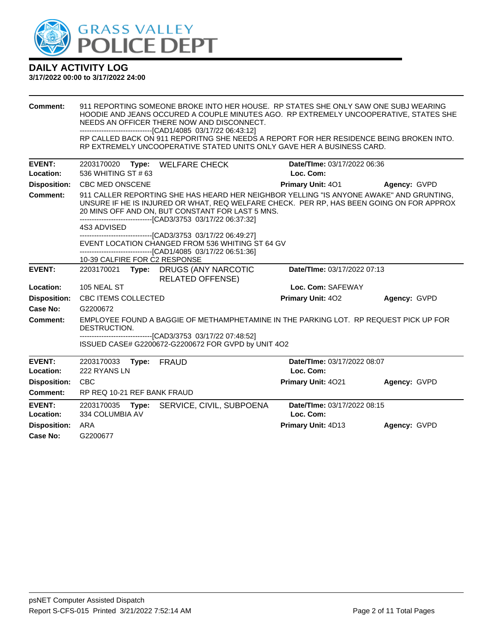

| <b>Comment:</b>                 | 911 REPORTING SOMEONE BROKE INTO HER HOUSE. RP STATES SHE ONLY SAW ONE SUBJ WEARING<br>HOODIE AND JEANS OCCURED A COUPLE MINUTES AGO. RP EXTREMELY UNCOOPERATIVE. STATES SHE<br>NEEDS AN OFFICER THERE NOW AND DISCONNECT.<br>-------------------------------[CAD1/4085 03/17/22 06:43:12]<br>RP CALLED BACK ON 911 REPORITNG SHE NEEDS A REPORT FOR HER RESIDENCE BEING BROKEN INTO.<br>RP EXTREMELY UNCOOPERATIVE STATED UNITS ONLY GAVE HER A BUSINESS CARD. |                                          |              |  |
|---------------------------------|-----------------------------------------------------------------------------------------------------------------------------------------------------------------------------------------------------------------------------------------------------------------------------------------------------------------------------------------------------------------------------------------------------------------------------------------------------------------|------------------------------------------|--------------|--|
| <b>EVENT:</b>                   | 2203170020 Type: WELFARE CHECK                                                                                                                                                                                                                                                                                                                                                                                                                                  | Date/TIme: 03/17/2022 06:36              |              |  |
| Location:                       | 536 WHITING ST #63<br>Loc. Com:                                                                                                                                                                                                                                                                                                                                                                                                                                 |                                          |              |  |
| <b>Disposition:</b>             | <b>CBC MED ONSCENE</b>                                                                                                                                                                                                                                                                                                                                                                                                                                          | Primary Unit: 401                        | Agency: GVPD |  |
|                                 | Comment:<br>911 CALLER REPORTING SHE HAS HEARD HER NEIGHBOR YELLING "IS ANYONE AWAKE" AND GRUNTING.<br>UNSURE IF HE IS INJURED OR WHAT, REQ WELFARE CHECK. PER RP, HAS BEEN GOING ON FOR APPROX<br>20 MINS OFF AND ON, BUT CONSTANT FOR LAST 5 MNS.<br>--------------------------------[CAD3/3753 03/17/22 06:37:32]                                                                                                                                            |                                          |              |  |
|                                 | 4S3 ADVISED                                                                                                                                                                                                                                                                                                                                                                                                                                                     |                                          |              |  |
|                                 | ---------------------------------[CAD3/3753 03/17/22 06:49:27]<br>EVENT LOCATION CHANGED FROM 536 WHITING ST 64 GV<br>--------------------------------[CAD1/4085 03/17/22 06:51:36]<br>10-39 CALFIRE FOR C2 RESPONSE                                                                                                                                                                                                                                            |                                          |              |  |
| <b>EVENT:</b>                   | 2203170021 Type: DRUGS (ANY NARCOTIC<br><b>RELATED OFFENSE)</b>                                                                                                                                                                                                                                                                                                                                                                                                 | Date/TIme: 03/17/2022 07:13              |              |  |
| Location:                       | 105 NEAL ST                                                                                                                                                                                                                                                                                                                                                                                                                                                     | Loc. Com: SAFEWAY                        |              |  |
| <b>Disposition:</b>             | <b>CBC ITEMS COLLECTED</b>                                                                                                                                                                                                                                                                                                                                                                                                                                      | Primary Unit: 402                        | Agency: GVPD |  |
| Case No:                        | G2200672                                                                                                                                                                                                                                                                                                                                                                                                                                                        |                                          |              |  |
| <b>Comment:</b>                 | EMPLOYEE FOUND A BAGGIE OF METHAMPHETAMINE IN THE PARKING LOT. RP REQUEST PICK UP FOR<br>DESTRUCTION.                                                                                                                                                                                                                                                                                                                                                           |                                          |              |  |
|                                 | ----------------------------------[CAD3/3753 03/17/22 07:48:52]<br>ISSUED CASE# G2200672-G2200672 FOR GVPD by UNIT 4O2                                                                                                                                                                                                                                                                                                                                          |                                          |              |  |
| <b>EVENT:</b><br>Location:      | 2203170033<br>Type: FRAUD<br>222 RYANS LN                                                                                                                                                                                                                                                                                                                                                                                                                       | Date/TIme: 03/17/2022 08:07<br>Loc. Com: |              |  |
| <b>Disposition:</b>             | <b>CBC</b>                                                                                                                                                                                                                                                                                                                                                                                                                                                      | Primary Unit: 4021                       | Agency: GVPD |  |
| Comment:                        | RP REQ 10-21 REF BANK FRAUD                                                                                                                                                                                                                                                                                                                                                                                                                                     |                                          |              |  |
| <b>EVENT:</b><br>Location:      | SERVICE, CIVIL, SUBPOENA<br>2203170035<br>Type:<br>334 COLUMBIA AV                                                                                                                                                                                                                                                                                                                                                                                              | Date/TIme: 03/17/2022 08:15<br>Loc. Com: |              |  |
| <b>Disposition:</b><br>Case No: | ARA<br>G2200677                                                                                                                                                                                                                                                                                                                                                                                                                                                 | Primary Unit: 4D13                       | Agency: GVPD |  |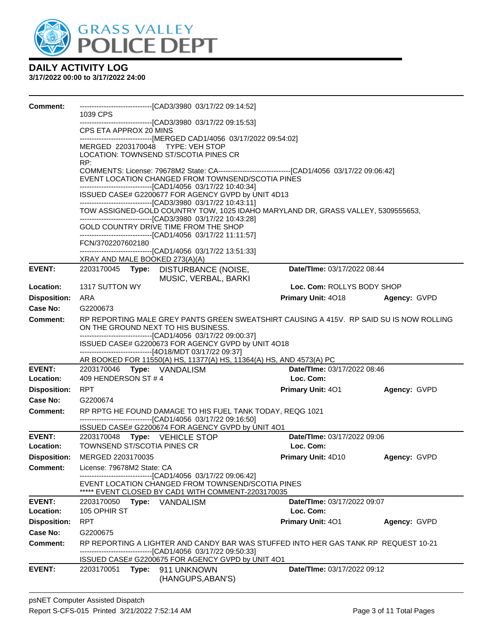

| Comment:            | 1039 CPS                                                                                                                                                                                                                         | ------------------------------[CAD3/3980 03/17/22 09:14:52]                                                                                                           |                             |              |  |  |  |
|---------------------|----------------------------------------------------------------------------------------------------------------------------------------------------------------------------------------------------------------------------------|-----------------------------------------------------------------------------------------------------------------------------------------------------------------------|-----------------------------|--------------|--|--|--|
|                     |                                                                                                                                                                                                                                  | ------------------------------[CAD3/3980 03/17/22 09:15:53]                                                                                                           |                             |              |  |  |  |
|                     | CPS ETA APPROX 20 MINS                                                                                                                                                                                                           |                                                                                                                                                                       |                             |              |  |  |  |
|                     |                                                                                                                                                                                                                                  | ------------------------------[MERGED CAD1/4056 03/17/2022 09:54:02]                                                                                                  |                             |              |  |  |  |
|                     | MERGED 2203170048 TYPE: VEH STOP                                                                                                                                                                                                 | LOCATION: TOWNSEND ST/SCOTIA PINES CR                                                                                                                                 |                             |              |  |  |  |
|                     | RP:<br>COMMENTS: License: 79678M2 State: CA-----------------------------------[CAD1/4056 03/17/22 09:06:42]<br>EVENT LOCATION CHANGED FROM TOWNSEND/SCOTIA PINES<br>-------------------------------[CAD1/4056 03/17/22 10:40:34] |                                                                                                                                                                       |                             |              |  |  |  |
|                     |                                                                                                                                                                                                                                  | ISSUED CASE# G2200677 FOR AGENCY GVPD by UNIT 4D13                                                                                                                    |                             |              |  |  |  |
|                     |                                                                                                                                                                                                                                  | --------------------------------[CAD3/3980 03/17/22 10:43:11]<br>TOW ASSIGNED-GOLD COUNTRY TOW, 1025 IDAHO MARYLAND DR, GRASS VALLEY, 5309555653,                     |                             |              |  |  |  |
|                     |                                                                                                                                                                                                                                  | --------------------------------[CAD3/3980 03/17/22 10:43:28]<br>GOLD COUNTRY DRIVE TIME FROM THE SHOP<br>------------------------------[CAD1/4056 03/17/22 11:11:57] |                             |              |  |  |  |
|                     | FCN/3702207602180                                                                                                                                                                                                                |                                                                                                                                                                       |                             |              |  |  |  |
|                     |                                                                                                                                                                                                                                  | -------------------------------[CAD1/4056 03/17/22 13:51:33]                                                                                                          |                             |              |  |  |  |
|                     | XRAY AND MALE BOOKED 273(A)(A)                                                                                                                                                                                                   |                                                                                                                                                                       |                             |              |  |  |  |
| <b>EVENT:</b>       |                                                                                                                                                                                                                                  | 2203170045 Type: DISTURBANCE (NOISE,<br>MUSIC, VERBAL, BARKI                                                                                                          | Date/TIme: 03/17/2022 08:44 |              |  |  |  |
| Location:           | 1317 SUTTON WY                                                                                                                                                                                                                   |                                                                                                                                                                       | Loc. Com: ROLLYS BODY SHOP  |              |  |  |  |
| <b>Disposition:</b> | ARA                                                                                                                                                                                                                              |                                                                                                                                                                       | <b>Primary Unit: 4018</b>   | Agency: GVPD |  |  |  |
| Case No:            | G2200673                                                                                                                                                                                                                         |                                                                                                                                                                       |                             |              |  |  |  |
| Comment:            | ON THE GROUND NEXT TO HIS BUSINESS.                                                                                                                                                                                              | RP REPORTING MALE GREY PANTS GREEN SWEATSHIRT CAUSING A 415V. RP SAID SU IS NOW ROLLING                                                                               |                             |              |  |  |  |
|                     |                                                                                                                                                                                                                                  | -------------------------------[CAD1/4056 03/17/22 09:00:37]<br>ISSUED CASE# G2200673 FOR AGENCY GVPD by UNIT 4O18                                                    |                             |              |  |  |  |
|                     |                                                                                                                                                                                                                                  | ------------------------------[4O18/MDT 03/17/22 09:37]                                                                                                               |                             |              |  |  |  |
|                     |                                                                                                                                                                                                                                  | AR BOOKED FOR 11550(A) HS, 11377(A) HS, 11364(A) HS, AND 4573(A) PC                                                                                                   |                             |              |  |  |  |
| <b>EVENT:</b>       | 2203170046 Type: VANDALISM                                                                                                                                                                                                       |                                                                                                                                                                       | Date/TIme: 03/17/2022 08:46 |              |  |  |  |
| Location:           | 409 HENDERSON ST #4                                                                                                                                                                                                              |                                                                                                                                                                       | Loc. Com:                   |              |  |  |  |
| <b>Disposition:</b> | RPT                                                                                                                                                                                                                              |                                                                                                                                                                       | <b>Primary Unit: 401</b>    | Agency: GVPD |  |  |  |
| Case No:            | G2200674                                                                                                                                                                                                                         |                                                                                                                                                                       |                             |              |  |  |  |
| Comment:            |                                                                                                                                                                                                                                  | RP RPTG HE FOUND DAMAGE TO HIS FUEL TANK TODAY, REQG 1021<br>-------------------------------[CAD1/4056 03/17/22 09:16:50]                                             |                             |              |  |  |  |
|                     |                                                                                                                                                                                                                                  | ISSUED CASE# G2200674 FOR AGENCY GVPD by UNIT 4O1                                                                                                                     |                             |              |  |  |  |
| <b>EVENT:</b>       | 2203170048 Type: VEHICLE STOP                                                                                                                                                                                                    |                                                                                                                                                                       | Date/TIme: 03/17/2022 09:06 |              |  |  |  |
| Location:           | TOWNSEND ST/SCOTIA PINES CR                                                                                                                                                                                                      |                                                                                                                                                                       | Loc. Com:                   |              |  |  |  |
| <b>Disposition:</b> | MERGED 2203170035                                                                                                                                                                                                                |                                                                                                                                                                       | Primary Unit: 4D10          | Agency: GVPD |  |  |  |
| <b>Comment:</b>     | License: 79678M2 State: CA                                                                                                                                                                                                       |                                                                                                                                                                       |                             |              |  |  |  |
|                     |                                                                                                                                                                                                                                  | -----------------------[CAD1/4056_03/17/22_09:06:42]<br>EVENT LOCATION CHANGED FROM TOWNSEND/SCOTIA PINES<br>***** EVENT CLOSED BY CAD1 WITH COMMENT-2203170035       |                             |              |  |  |  |
| <b>EVENT:</b>       | 2203170050 Type: VANDALISM                                                                                                                                                                                                       |                                                                                                                                                                       | Date/TIme: 03/17/2022 09:07 |              |  |  |  |
| Location:           | 105 OPHIR ST                                                                                                                                                                                                                     |                                                                                                                                                                       | Loc. Com:                   |              |  |  |  |
| <b>Disposition:</b> | <b>RPT</b>                                                                                                                                                                                                                       |                                                                                                                                                                       | <b>Primary Unit: 401</b>    | Agency: GVPD |  |  |  |
| <b>Case No:</b>     | G2200675                                                                                                                                                                                                                         |                                                                                                                                                                       |                             |              |  |  |  |
| <b>Comment:</b>     |                                                                                                                                                                                                                                  | RP REPORTING A LIGHTER AND CANDY BAR WAS STUFFED INTO HER GAS TANK RP REQUEST 10-21<br>-----------------------[CAD1/4056_03/17/22_09:50:33]                           |                             |              |  |  |  |
| <b>EVENT:</b>       | 2203170051<br>Type:                                                                                                                                                                                                              | ISSUED CASE# G2200675 FOR AGENCY GVPD by UNIT 4O1<br>911 UNKNOWN                                                                                                      | Date/TIme: 03/17/2022 09:12 |              |  |  |  |
|                     |                                                                                                                                                                                                                                  | (HANGUPS, ABAN'S)                                                                                                                                                     |                             |              |  |  |  |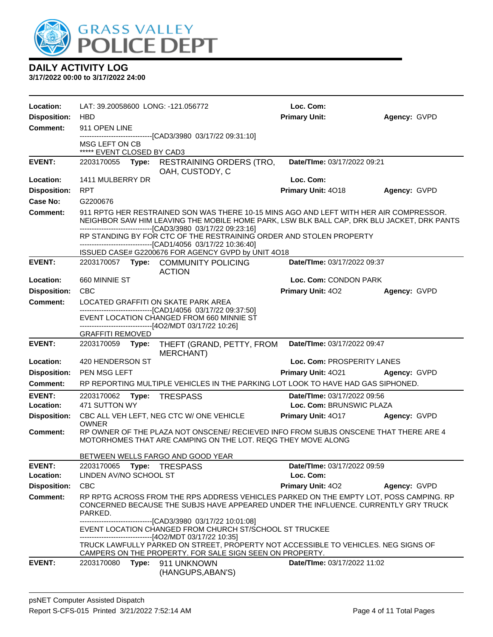

| Location:           | LAT: 39.20058600 LONG: -121.056772                                                                                                                                                                                                                    | Loc. Com:                   |              |
|---------------------|-------------------------------------------------------------------------------------------------------------------------------------------------------------------------------------------------------------------------------------------------------|-----------------------------|--------------|
| <b>Disposition:</b> | <b>HBD</b>                                                                                                                                                                                                                                            | <b>Primary Unit:</b>        | Agency: GVPD |
| Comment:            | 911 OPEN LINE                                                                                                                                                                                                                                         |                             |              |
|                     | --------------------------------[CAD3/3980 03/17/22 09:31:10]<br>MSG LEFT ON CB<br>***** EVENT CLOSED BY CAD3                                                                                                                                         |                             |              |
| <b>EVENT:</b>       | 2203170055 Type:<br><b>RESTRAINING ORDERS (TRO,</b><br>OAH, CUSTODY, C                                                                                                                                                                                | Date/TIme: 03/17/2022 09:21 |              |
| Location:           | 1411 MULBERRY DR                                                                                                                                                                                                                                      | Loc. Com:                   |              |
| <b>Disposition:</b> | <b>RPT</b>                                                                                                                                                                                                                                            | Primary Unit: 4018          | Agency: GVPD |
| Case No:            | G2200676                                                                                                                                                                                                                                              |                             |              |
| <b>Comment:</b>     | 911 RPTG HER RESTRAINED SON WAS THERE 10-15 MINS AGO AND LEFT WITH HER AIR COMPRESSOR.<br>NEIGHBOR SAW HIM LEAVING THE MOBILE HOME PARK, LSW BLK BALL CAP, DRK BLU JACKET, DRK PANTS<br>--------------------------------[CAD3/3980 03/17/22 09:23:16] |                             |              |
|                     | RP STANDING BY FOR CTC OF THE RESTRAINING ORDER AND STOLEN PROPERTY<br>-------------------------------[CAD1/4056 03/17/22 10:36:40]<br>ISSUED CASE# G2200676 FOR AGENCY GVPD by UNIT 4O18                                                             |                             |              |
| <b>EVENT:</b>       | 2203170057 Type: COMMUNITY POLICING<br><b>ACTION</b>                                                                                                                                                                                                  | Date/TIme: 03/17/2022 09:37 |              |
| Location:           | 660 MINNIE ST                                                                                                                                                                                                                                         | Loc. Com: CONDON PARK       |              |
| <b>Disposition:</b> | <b>CBC</b>                                                                                                                                                                                                                                            | <b>Primary Unit: 402</b>    | Agency: GVPD |
| <b>Comment:</b>     | LOCATED GRAFFITI ON SKATE PARK AREA                                                                                                                                                                                                                   |                             |              |
|                     | -------------------------------[CAD1/4056 03/17/22 09:37:50]<br>EVENT LOCATION CHANGED FROM 660 MINNIE ST<br>----------------------[4O2/MDT 03/17/22 10:26]                                                                                           |                             |              |
|                     | <b>GRAFFITI REMOVED</b>                                                                                                                                                                                                                               |                             |              |
| <b>EVENT:</b>       | 2203170059<br>Type:<br>THEFT (GRAND, PETTY, FROM                                                                                                                                                                                                      | Date/TIme: 03/17/2022 09:47 |              |
|                     | <b>MERCHANT)</b>                                                                                                                                                                                                                                      |                             |              |
| Location:           | 420 HENDERSON ST                                                                                                                                                                                                                                      | Loc. Com: PROSPERITY LANES  |              |
| <b>Disposition:</b> | PEN MSG LEFT                                                                                                                                                                                                                                          | Primary Unit: 4021          | Agency: GVPD |
| Comment:            | RP REPORTING MULTIPLE VEHICLES IN THE PARKING LOT LOOK TO HAVE HAD GAS SIPHONED.                                                                                                                                                                      |                             |              |
| <b>EVENT:</b>       | 2203170062<br>Type:<br><b>TRESPASS</b>                                                                                                                                                                                                                | Date/TIme: 03/17/2022 09:56 |              |
| Location:           | 471 SUTTON WY                                                                                                                                                                                                                                         | Loc. Com: BRUNSWIC PLAZA    |              |
| <b>Disposition:</b> | CBC ALL VEH LEFT, NEG CTC W/ ONE VEHICLE                                                                                                                                                                                                              | <b>Primary Unit: 4017</b>   | Agency: GVPD |
| Comment:            | <b>OWNER</b><br>RP OWNER OF THE PLAZA NOT ONSCENE/ RECIEVED INFO FROM SUBJS ONSCENE THAT THERE ARE 4<br>MOTORHOMES THAT ARE CAMPING ON THE LOT. REQG THEY MOVE ALONG                                                                                  |                             |              |
|                     | BETWEEN WELLS FARGO AND GOOD YEAR                                                                                                                                                                                                                     |                             |              |
| <b>EVENT:</b>       | 2203170065    Type: TRESPASS                                                                                                                                                                                                                          | Date/TIme: 03/17/2022 09:59 |              |
| Location:           | LINDEN AV/NO SCHOOL ST                                                                                                                                                                                                                                | Loc. Com:                   |              |
| <b>Disposition:</b> | <b>CBC</b>                                                                                                                                                                                                                                            | Primary Unit: 402           | Agency: GVPD |
| <b>Comment:</b>     | RP RPTG ACROSS FROM THE RPS ADDRESS VEHICLES PARKED ON THE EMPTY LOT, POSS CAMPING. RP<br>CONCERNED BECAUSE THE SUBJS HAVE APPEARED UNDER THE INFLUENCE. CURRENTLY GRY TRUCK<br>PARKED.                                                               |                             |              |
|                     | ------------------------[CAD3/3980_03/17/22_10:01:08]<br>EVENT LOCATION CHANGED FROM CHURCH ST/SCHOOL ST TRUCKEE                                                                                                                                      |                             |              |
|                     | --------------------------------[4O2/MDT 03/17/22 10:35]<br>TRUCK LAWFULLY PARKED ON STREET, PROPERTY NOT ACCESSIBLE TO VEHICLES. NEG SIGNS OF<br>CAMPERS ON THE PROPERTY. FOR SALE SIGN SEEN ON PROPERTY.                                            |                             |              |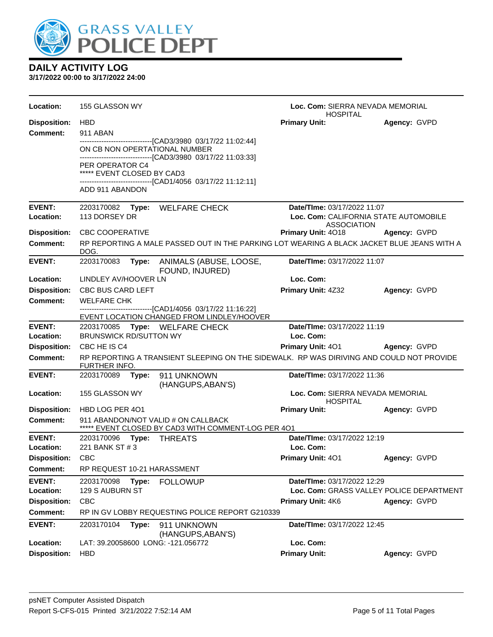

| Location:                  | 155 GLASSON WY                                                                                            |                                                                                                            | Loc. Com: SIERRA NEVADA MEMORIAL<br><b>HOSPITAL</b>                     |              |  |
|----------------------------|-----------------------------------------------------------------------------------------------------------|------------------------------------------------------------------------------------------------------------|-------------------------------------------------------------------------|--------------|--|
| <b>Disposition:</b>        | <b>HBD</b>                                                                                                |                                                                                                            | <b>Primary Unit:</b>                                                    | Agency: GVPD |  |
| Comment:                   | 911 ABAN                                                                                                  |                                                                                                            |                                                                         |              |  |
|                            | ON CB NON OPERTATIONAL NUMBER                                                                             | -------------------------------[CAD3/3980_03/17/22 11:02:44]                                               |                                                                         |              |  |
|                            |                                                                                                           | -------------------------------[CAD3/3980 03/17/22 11:03:33]                                               |                                                                         |              |  |
|                            | PER OPERATOR C4<br>***** EVENT CLOSED BY CAD3                                                             | -------------------------------[CAD1/4056 03/17/22 11:12:11]                                               |                                                                         |              |  |
|                            | ADD 911 ABANDON                                                                                           |                                                                                                            |                                                                         |              |  |
| <b>EVENT:</b>              |                                                                                                           | 2203170082 Type: WELFARE CHECK                                                                             | Date/TIme: 03/17/2022 11:07                                             |              |  |
| Location:                  | 113 DORSEY DR                                                                                             |                                                                                                            | Loc. Com: CALIFORNIA STATE AUTOMOBILE                                   |              |  |
| <b>Disposition:</b>        | <b>CBC COOPERATIVE</b>                                                                                    |                                                                                                            | <b>ASSOCIATION</b><br><b>Primary Unit: 4018</b>                         | Agency: GVPD |  |
| <b>Comment:</b>            |                                                                                                           | RP REPORTING A MALE PASSED OUT IN THE PARKING LOT WEARING A BLACK JACKET BLUE JEANS WITH A                 |                                                                         |              |  |
|                            | DOG.                                                                                                      |                                                                                                            |                                                                         |              |  |
| <b>EVENT:</b>              | 2203170083                                                                                                | Type: ANIMALS (ABUSE, LOOSE,<br>FOUND, INJURED)                                                            | Date/TIme: 03/17/2022 11:07                                             |              |  |
| Location:                  | LINDLEY AV/HOOVER LN                                                                                      |                                                                                                            | Loc. Com:                                                               |              |  |
| <b>Disposition:</b>        | <b>CBC BUS CARD LEFT</b>                                                                                  |                                                                                                            | <b>Primary Unit: 4Z32</b>                                               | Agency: GVPD |  |
| Comment:                   | <b>WELFARE CHK</b>                                                                                        |                                                                                                            |                                                                         |              |  |
|                            |                                                                                                           | -------------------------------[CAD1/4056 03/17/22 11:16:22]<br>EVENT LOCATION CHANGED FROM LINDLEY/HOOVER |                                                                         |              |  |
| <b>EVENT:</b>              |                                                                                                           | 2203170085 Type: WELFARE CHECK                                                                             | Date/TIme: 03/17/2022 11:19                                             |              |  |
| Location:                  | <b>BRUNSWICK RD/SUTTON WY</b>                                                                             |                                                                                                            | Loc. Com:                                                               |              |  |
| <b>Disposition:</b>        | CBC HE IS C4                                                                                              |                                                                                                            | Primary Unit: 401 Agency: GVPD                                          |              |  |
| <b>Comment:</b>            | RP REPORTING A TRANSIENT SLEEPING ON THE SIDEWALK. RP WAS DIRIVING AND COULD NOT PROVIDE<br>FURTHER INFO. |                                                                                                            |                                                                         |              |  |
| <b>EVENT:</b>              | 2203170089 Type:                                                                                          | 911 UNKNOWN<br>(HANGUPS, ABAN'S)                                                                           | Date/TIme: 03/17/2022 11:36                                             |              |  |
| Location:                  | 155 GLASSON WY                                                                                            |                                                                                                            | Loc. Com: SIERRA NEVADA MEMORIAL<br><b>HOSPITAL</b>                     |              |  |
| <b>Disposition:</b>        | HBD LOG PER 401                                                                                           |                                                                                                            | <b>Primary Unit:</b>                                                    | Agency: GVPD |  |
| Comment:                   |                                                                                                           | 911 ABANDON/NOT VALID # ON CALLBACK<br>***** EVENT CLOSED BY CAD3 WITH COMMENT-LOG PER 401                 |                                                                         |              |  |
| <b>EVENT:</b>              | 2203170096 Type:                                                                                          | THREATS                                                                                                    | Date/TIme: 03/17/2022 12:19                                             |              |  |
| Location:                  | 221 BANK ST # 3                                                                                           |                                                                                                            | Loc. Com:                                                               |              |  |
| Disposition: CBC           |                                                                                                           |                                                                                                            | <b>Primary Unit: 401</b>                                                | Agency: GVPD |  |
| Comment:                   | RP REQUEST 10-21 HARASSMENT                                                                               |                                                                                                            |                                                                         |              |  |
| <b>EVENT:</b><br>Location: | 2203170098<br>Type:<br>129 S AUBURN ST                                                                    | <b>FOLLOWUP</b>                                                                                            | Date/TIme: 03/17/2022 12:29<br>Loc. Com: GRASS VALLEY POLICE DEPARTMENT |              |  |
| <b>Disposition:</b>        | <b>CBC</b>                                                                                                |                                                                                                            | Primary Unit: 4K6                                                       | Agency: GVPD |  |
| <b>Comment:</b>            |                                                                                                           | RP IN GV LOBBY REQUESTING POLICE REPORT G210339                                                            |                                                                         |              |  |
| <b>EVENT:</b>              |                                                                                                           |                                                                                                            |                                                                         |              |  |
|                            | 2203170104<br>Type:                                                                                       | 911 UNKNOWN<br>(HANGUPS, ABAN'S)                                                                           | Date/TIme: 03/17/2022 12:45                                             |              |  |
| Location:                  | LAT: 39.20058600 LONG: -121.056772                                                                        |                                                                                                            | Loc. Com:                                                               |              |  |
| <b>Disposition:</b>        | <b>HBD</b>                                                                                                |                                                                                                            | <b>Primary Unit:</b>                                                    | Agency: GVPD |  |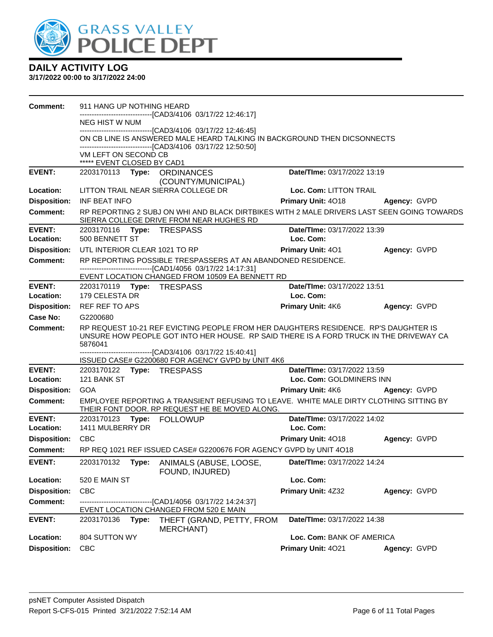

| Comment:            | 911 HANG UP NOTHING HEARD                                                                                                                                                                |                             |              |
|---------------------|------------------------------------------------------------------------------------------------------------------------------------------------------------------------------------------|-----------------------------|--------------|
|                     | ------------------------[CAD3/4106 03/17/22 12:46:17]<br>NEG HIST W NUM                                                                                                                  |                             |              |
|                     | ---------------------[CAD3/4106 03/17/22 12:46:45]                                                                                                                                       |                             |              |
|                     | ON CB LINE IS ANSWERED MALE HEARD TALKING IN BACKGROUND THEN DICSONNECTS<br>-------------------------------[CAD3/4106 03/17/22 12:50:50]                                                 |                             |              |
|                     | VM LEFT ON SECOND CB<br>***** EVENT CLOSED BY CAD1                                                                                                                                       |                             |              |
| <b>EVENT:</b>       | 2203170113 Type: ORDINANCES<br>(COUNTY/MUNICIPAL)                                                                                                                                        | Date/TIme: 03/17/2022 13:19 |              |
| Location:           | LITTON TRAIL NEAR SIERRA COLLEGE DR                                                                                                                                                      | Loc. Com: LITTON TRAIL      |              |
| <b>Disposition:</b> | INF BEAT INFO                                                                                                                                                                            | Primary Unit: 4018          | Agency: GVPD |
| <b>Comment:</b>     | RP REPORTING 2 SUBJ ON WHI AND BLACK DIRTBIKES WITH 2 MALE DRIVERS LAST SEEN GOING TOWARDS<br>SIERRA COLLEGE DRIVE FROM NEAR HUGHES RD                                                   |                             |              |
| <b>EVENT:</b>       | 2203170116 Type: TRESPASS                                                                                                                                                                | Date/TIme: 03/17/2022 13:39 |              |
| Location:           | 500 BENNETT ST                                                                                                                                                                           | Loc. Com:                   |              |
| <b>Disposition:</b> | UTL INTERIOR CLEAR 1021 TO RP                                                                                                                                                            | <b>Primary Unit: 401</b>    | Agency: GVPD |
| <b>Comment:</b>     | RP REPORTING POSSIBLE TRESPASSERS AT AN ABANDONED RESIDENCE.<br>------------------------------[CAD1/4056 03/17/22 14:17:31]                                                              |                             |              |
|                     | EVENT LOCATION CHANGED FROM 10509 EA BENNETT RD                                                                                                                                          |                             |              |
| <b>EVENT:</b>       | 2203170119    Type: TRESPASS                                                                                                                                                             | Date/TIme: 03/17/2022 13:51 |              |
| Location:           | 179 CELESTA DR                                                                                                                                                                           | Loc. Com:                   |              |
| <b>Disposition:</b> | REF REF TO APS                                                                                                                                                                           | <b>Primary Unit: 4K6</b>    | Agency: GVPD |
| <b>Case No:</b>     | G2200680                                                                                                                                                                                 |                             |              |
| Comment:            | RP REQUEST 10-21 REF EVICTING PEOPLE FROM HER DAUGHTERS RESIDENCE. RP'S DAUGHTER IS<br>UNSURE HOW PEOPLE GOT INTO HER HOUSE. RP SAID THERE IS A FORD TRUCK IN THE DRIVEWAY CA<br>5876041 |                             |              |
|                     | -------------------------------[CAD3/4106 03/17/22 15:40:41]<br>ISSUED CASE# G2200680 FOR AGENCY GVPD by UNIT 4K6                                                                        |                             |              |
| <b>EVENT:</b>       | 2203170122 Type: TRESPASS                                                                                                                                                                | Date/TIme: 03/17/2022 13:59 |              |
| Location:           | 121 BANK ST                                                                                                                                                                              | Loc. Com: GOLDMINERS INN    |              |
| <b>Disposition:</b> | GOA                                                                                                                                                                                      | <b>Primary Unit: 4K6</b>    | Agency: GVPD |
| <b>Comment:</b>     | EMPLOYEE REPORTING A TRANSIENT REFUSING TO LEAVE. WHITE MALE DIRTY CLOTHING SITTING BY<br>THEIR FONT DOOR. RP REQUEST HE BE MOVED ALONG.                                                 |                             |              |
| <b>EVENT:</b>       | 2203170123<br>Type: FOLLOWUP                                                                                                                                                             | Date/TIme: 03/17/2022 14:02 |              |
| Location:           | 1411 MULBERRY DR                                                                                                                                                                         | Loc. Com:                   |              |
| <b>Disposition:</b> | <b>CBC</b>                                                                                                                                                                               | <b>Primary Unit: 4018</b>   | Agency: GVPD |
| Comment:            | RP REQ 1021 REF ISSUED CASE# G2200676 FOR AGENCY GVPD by UNIT 4O18                                                                                                                       |                             |              |
| <b>EVENT:</b>       | 2203170132<br>Type:<br>ANIMALS (ABUSE, LOOSE,<br>FOUND, INJURED)                                                                                                                         | Date/TIme: 03/17/2022 14:24 |              |
| Location:           | 520 E MAIN ST                                                                                                                                                                            | Loc. Com:                   |              |
| <b>Disposition:</b> | <b>CBC</b>                                                                                                                                                                               | Primary Unit: 4Z32          | Agency: GVPD |
| Comment:            | -------------------------[CAD1/4056 03/17/22 14:24:37]<br>EVENT LOCATION CHANGED FROM 520 E MAIN                                                                                         |                             |              |
| <b>EVENT:</b>       | 2203170136<br>Type:<br>THEFT (GRAND, PETTY, FROM<br>MERCHANT)                                                                                                                            | Date/TIme: 03/17/2022 14:38 |              |
| Location:           | 804 SUTTON WY                                                                                                                                                                            | Loc. Com: BANK OF AMERICA   |              |
| <b>Disposition:</b> | <b>CBC</b>                                                                                                                                                                               | Primary Unit: 4021          | Agency: GVPD |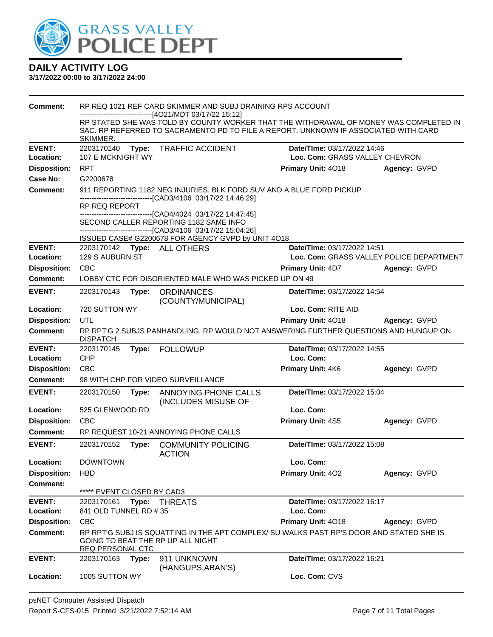

| <b>Comment:</b>                        |                                                                                                        |       | RP REQ 1021 REF CARD SKIMMER AND SUBJ DRAINING RPS ACCOUNT                                                                                                                                                                          |                                |                                          |
|----------------------------------------|--------------------------------------------------------------------------------------------------------|-------|-------------------------------------------------------------------------------------------------------------------------------------------------------------------------------------------------------------------------------------|--------------------------------|------------------------------------------|
|                                        | SKIMMER.                                                                                               |       | --------------------------[4O21/MDT 03/17/22 15:12]<br>RP STATED SHE WAS TOLD BY COUNTY WORKER THAT THE WITHDRAWAL OF MONEY WAS COMPLETED IN<br>SAC. RP REFERRED TO SACRAMENTO PD TO FILE A REPORT. UNKNOWN IF ASSOCIATED WITH CARD |                                |                                          |
| <b>EVENT:</b>                          | 2203170140<br><b>TRAFFIC ACCIDENT</b><br>Date/TIme: 03/17/2022 14:46<br>Type:                          |       |                                                                                                                                                                                                                                     |                                |                                          |
| Location:                              | 107 E MCKNIGHT WY                                                                                      |       |                                                                                                                                                                                                                                     | Loc. Com: GRASS VALLEY CHEVRON |                                          |
| <b>Disposition:</b>                    | <b>RPT</b>                                                                                             |       |                                                                                                                                                                                                                                     | Primary Unit: 4018             | Agency: GVPD                             |
| Case No:                               | G2200678<br>911 REPORTING 1182 NEG INJURIES. BLK FORD SUV AND A BLUE FORD PICKUP                       |       |                                                                                                                                                                                                                                     |                                |                                          |
| <b>Comment:</b>                        |                                                                                                        |       | ------------------------------[CAD3/4106 03/17/22 14:46:29]                                                                                                                                                                         |                                |                                          |
|                                        | RP REQ REPORT                                                                                          |       |                                                                                                                                                                                                                                     |                                |                                          |
|                                        |                                                                                                        |       | ------------------------[CAD4/4024_03/17/22 14:47:45]<br>SECOND CALLER REPORTING 1182 SAME INFO<br>-------------------------------[CAD3/4106 03/17/22 15:04:26]                                                                     |                                |                                          |
|                                        |                                                                                                        |       | ISSUED CASE# G2200678 FOR AGENCY GVPD by UNIT 4O18                                                                                                                                                                                  |                                |                                          |
| <b>EVENT:</b>                          |                                                                                                        |       | 2203170142 Type: ALL OTHERS                                                                                                                                                                                                         | Date/TIme: 03/17/2022 14:51    |                                          |
| Location:                              | 129 S AUBURN ST                                                                                        |       |                                                                                                                                                                                                                                     |                                | Loc. Com: GRASS VALLEY POLICE DEPARTMENT |
| <b>Disposition:</b>                    | <b>CBC</b>                                                                                             |       |                                                                                                                                                                                                                                     | <b>Primary Unit: 4D7</b>       | Agency: GVPD                             |
| <b>Comment:</b>                        |                                                                                                        |       | LOBBY CTC FOR DISORIENTED MALE WHO WAS PICKED UP ON 49                                                                                                                                                                              |                                |                                          |
| <b>EVENT:</b>                          | 2203170143                                                                                             | Type: | <b>ORDINANCES</b><br>(COUNTY/MUNICIPAL)                                                                                                                                                                                             | Date/TIme: 03/17/2022 14:54    |                                          |
| Location:                              | 720 SUTTON WY                                                                                          |       |                                                                                                                                                                                                                                     | Loc. Com: RITE AID             |                                          |
| <b>Disposition:</b>                    | UTL                                                                                                    |       |                                                                                                                                                                                                                                     | Primary Unit: 4018             | Agency: GVPD                             |
| <b>Comment:</b>                        | RP RPTG 2 SUBJS PANHANDLING. RP WOULD NOT ANSWERING FURTHER QUESTIONS AND HUNGUP ON<br><b>DISPATCH</b> |       |                                                                                                                                                                                                                                     |                                |                                          |
| <b>EVENT:</b>                          | 2203170145                                                                                             |       | Type: FOLLOWUP                                                                                                                                                                                                                      | Date/TIme: 03/17/2022 14:55    |                                          |
| Location:                              | <b>CHP</b>                                                                                             |       |                                                                                                                                                                                                                                     | Loc. Com:                      |                                          |
| <b>Disposition:</b>                    | <b>CBC</b>                                                                                             |       |                                                                                                                                                                                                                                     | Primary Unit: 4K6              | Agency: GVPD                             |
|                                        | 98 WITH CHP FOR VIDEO SURVEILLANCE                                                                     |       |                                                                                                                                                                                                                                     |                                |                                          |
| Comment:                               |                                                                                                        |       |                                                                                                                                                                                                                                     |                                |                                          |
| <b>EVENT:</b>                          | 2203170150                                                                                             | Type: | ANNOYING PHONE CALLS<br>(INCLUDES MISUSE OF                                                                                                                                                                                         | Date/TIme: 03/17/2022 15:04    |                                          |
| Location:                              | 525 GLENWOOD RD                                                                                        |       |                                                                                                                                                                                                                                     | Loc. Com:                      |                                          |
| <b>Disposition:</b>                    | <b>CBC</b>                                                                                             |       |                                                                                                                                                                                                                                     | <b>Primary Unit: 4S5</b>       | Agency: GVPD                             |
| <b>Comment:</b>                        |                                                                                                        |       | RP REQUEST 10-21 ANNOYING PHONE CALLS                                                                                                                                                                                               |                                |                                          |
| <b>EVENT:</b>                          | 2203170152                                                                                             | Type: | <b>COMMUNITY POLICING</b><br><b>ACTION</b>                                                                                                                                                                                          | Date/TIme: 03/17/2022 15:08    |                                          |
| <b>Location:</b>                       | <b>DOWNTOWN</b>                                                                                        |       |                                                                                                                                                                                                                                     | Loc. Com:                      |                                          |
| <b>Disposition:</b>                    | <b>HBD</b>                                                                                             |       |                                                                                                                                                                                                                                     | <b>Primary Unit: 402</b>       | Agency: GVPD                             |
| <b>Comment:</b>                        |                                                                                                        |       |                                                                                                                                                                                                                                     |                                |                                          |
|                                        | ***** EVENT CLOSED BY CAD3                                                                             |       |                                                                                                                                                                                                                                     |                                |                                          |
| <b>EVENT:</b><br>Location:             | 2203170161                                                                                             | Type: | <b>THREATS</b>                                                                                                                                                                                                                      | Date/TIme: 03/17/2022 16:17    |                                          |
|                                        | 841 OLD TUNNEL RD # 35<br><b>CBC</b>                                                                   |       |                                                                                                                                                                                                                                     | Loc. Com:                      |                                          |
| <b>Disposition:</b><br><b>Comment:</b> |                                                                                                        |       | RP RPTG SUBJ IS SQUATTING IN THE APT COMPLEX/ SU WALKS PAST RP'S DOOR AND STATED SHE IS<br>GOING TO BEAT THE RP UP ALL NIGHT                                                                                                        | Primary Unit: 4018             | Agency: GVPD                             |
| <b>EVENT:</b>                          | REQ PERSONAL CTC<br>2203170163                                                                         | Type: | 911 UNKNOWN<br>(HANGUPS, ABAN'S)                                                                                                                                                                                                    | Date/TIme: 03/17/2022 16:21    |                                          |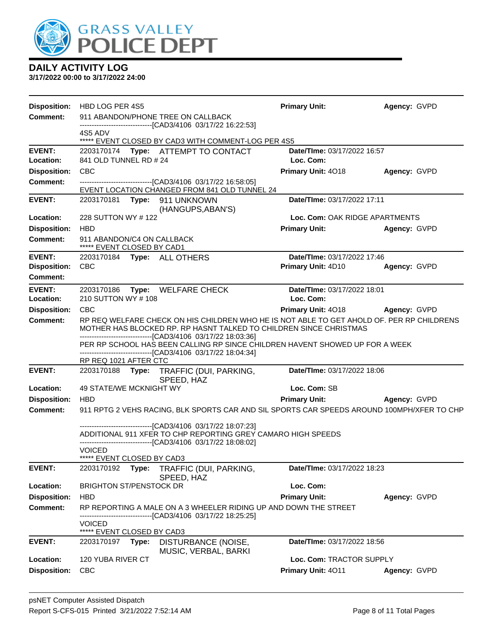

| <b>Disposition:</b>                  | HBD LOG PER 4S5                                                                                                                                                                                                                  | <b>Primary Unit:</b>                              | Agency: GVPD |  |  |  |
|--------------------------------------|----------------------------------------------------------------------------------------------------------------------------------------------------------------------------------------------------------------------------------|---------------------------------------------------|--------------|--|--|--|
| <b>Comment:</b>                      | 911 ABANDON/PHONE TREE ON CALLBACK<br>--------------------------------[CAD3/4106 03/17/22 16:22:53]                                                                                                                              |                                                   |              |  |  |  |
|                                      | 4S5 ADV<br>***** EVENT CLOSED BY CAD3 WITH COMMENT-LOG PER 4S5                                                                                                                                                                   |                                                   |              |  |  |  |
| <b>EVENT:</b><br>Location:           | 2203170174 Type: ATTEMPT TO CONTACT<br>841 OLD TUNNEL RD # 24                                                                                                                                                                    | Date/TIme: 03/17/2022 16:57<br>Loc. Com:          |              |  |  |  |
| <b>Disposition:</b>                  | <b>CBC</b>                                                                                                                                                                                                                       | Primary Unit: 4018                                | Agency: GVPD |  |  |  |
| Comment:                             | ---------------------------------[CAD3/4106 03/17/22 16:58:05]<br>EVENT LOCATION CHANGED FROM 841 OLD TUNNEL 24                                                                                                                  |                                                   |              |  |  |  |
| <b>EVENT:</b>                        | 2203170181 Type: 911 UNKNOWN<br>(HANGUPS, ABAN'S)                                                                                                                                                                                | Date/TIme: 03/17/2022 17:11                       |              |  |  |  |
| Location:                            | 228 SUTTON WY # 122                                                                                                                                                                                                              | Loc. Com: OAK RIDGE APARTMENTS                    |              |  |  |  |
| <b>Disposition:</b>                  | <b>HBD</b>                                                                                                                                                                                                                       | <b>Primary Unit:</b>                              | Agency: GVPD |  |  |  |
| <b>Comment:</b>                      | 911 ABANDON/C4 ON CALLBACK<br>***** EVENT CLOSED BY CAD1                                                                                                                                                                         |                                                   |              |  |  |  |
| <b>EVENT:</b><br><b>Disposition:</b> | 2203170184 Type: ALL OTHERS<br><b>CBC</b>                                                                                                                                                                                        | Date/TIme: 03/17/2022 17:46<br>Primary Unit: 4D10 | Agency: GVPD |  |  |  |
| <b>Comment:</b>                      |                                                                                                                                                                                                                                  |                                                   |              |  |  |  |
| <b>EVENT:</b><br>Location:           | 2203170186 Type: WELFARE CHECK<br>210 SUTTON WY # 108                                                                                                                                                                            | Date/TIme: 03/17/2022 18:01<br>Loc. Com:          |              |  |  |  |
| <b>Disposition:</b>                  | <b>CBC</b>                                                                                                                                                                                                                       | <b>Primary Unit: 4018</b>                         | Agency: GVPD |  |  |  |
| Comment:                             | RP REQ WELFARE CHECK ON HIS CHILDREN WHO HE IS NOT ABLE TO GET AHOLD OF. PER RP CHILDRENS<br>MOTHER HAS BLOCKED RP. RP HASNT TALKED TO CHILDREN SINCE CHRISTMAS<br>--------------------------------[CAD3/4106 03/17/22 18:03:36] |                                                   |              |  |  |  |
|                                      | PER RP SCHOOL HAS BEEN CALLING RP SINCE CHILDREN HAVENT SHOWED UP FOR A WEEK<br>-------------------------------[CAD3/4106 03/17/22 18:04:34]<br>RP REQ 1021 AFTER CTC                                                            |                                                   |              |  |  |  |
| <b>EVENT:</b>                        | 2203170188<br>Type: TRAFFIC (DUI, PARKING,<br>SPEED, HAZ                                                                                                                                                                         | Date/TIme: 03/17/2022 18:06                       |              |  |  |  |
| Location:                            | 49 STATE/WE MCKNIGHT WY                                                                                                                                                                                                          | Loc. Com: SB                                      |              |  |  |  |
| <b>Disposition:</b>                  | <b>HBD</b>                                                                                                                                                                                                                       | <b>Primary Unit:</b>                              | Agency: GVPD |  |  |  |
| <b>Comment:</b>                      | 911 RPTG 2 VEHS RACING, BLK SPORTS CAR AND SIL SPORTS CAR SPEEDS AROUND 100MPH/XFER TO CHP                                                                                                                                       |                                                   |              |  |  |  |
|                                      | -------------------------------[CAD3/4106 03/17/22 18:07:23]<br>ADDITIONAL 911 XFER TO CHP REPORTING GREY CAMARO HIGH SPEEDS<br>------------------------------[CAD3/4106 03/17/22 18:08:02]                                      |                                                   |              |  |  |  |
|                                      | <b>VOICED</b>                                                                                                                                                                                                                    |                                                   |              |  |  |  |
| <b>EVENT:</b>                        | ***** EVENT CLOSED BY CAD3<br>Type: TRAFFIC (DUI, PARKING,<br>2203170192                                                                                                                                                         | Date/TIme: 03/17/2022 18:23                       |              |  |  |  |
| Location:                            | SPEED, HAZ<br><b>BRIGHTON ST/PENSTOCK DR</b>                                                                                                                                                                                     | Loc. Com:                                         |              |  |  |  |
| <b>Disposition:</b>                  | <b>HBD</b>                                                                                                                                                                                                                       | <b>Primary Unit:</b>                              | Agency: GVPD |  |  |  |
| <b>Comment:</b>                      | RP REPORTING A MALE ON A 3 WHEELER RIDING UP AND DOWN THE STREET<br>-------------------[CAD3/4106 03/17/22 18:25:25]                                                                                                             |                                                   |              |  |  |  |
|                                      | <b>VOICED</b><br>***** EVENT CLOSED BY CAD3                                                                                                                                                                                      |                                                   |              |  |  |  |
| <b>EVENT:</b>                        | 2203170197 Type:<br>DISTURBANCE (NOISE,<br>MUSIC, VERBAL, BARKI                                                                                                                                                                  | Date/TIme: 03/17/2022 18:56                       |              |  |  |  |
| Location:                            | 120 YUBA RIVER CT                                                                                                                                                                                                                | Loc. Com: TRACTOR SUPPLY                          |              |  |  |  |
| <b>Disposition:</b>                  | <b>CBC</b>                                                                                                                                                                                                                       | Primary Unit: 4011                                | Agency: GVPD |  |  |  |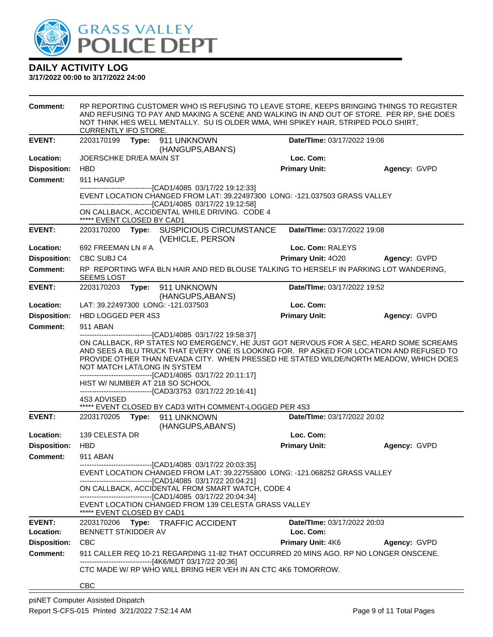

| <b>Comment:</b>     | RP REPORTING CUSTOMER WHO IS REFUSING TO LEAVE STORE, KEEPS BRINGING THINGS TO REGISTER<br>AND REFUSING TO PAY AND MAKING A SCENE AND WALKING IN AND OUT OF STORE. PER RP, SHE DOES<br>NOT THINK HES WELL MENTALLY. SU IS OLDER WMA, WHI SPIKEY HAIR, STRIPED POLO SHIRT,<br><b>CURRENTLY IFO STORE.</b>                                                                                                                                                                                                                                                                                                    |       |                                                                                                                                                                                                                                                                                                                                                                                        |                          |                             |              |  |
|---------------------|-------------------------------------------------------------------------------------------------------------------------------------------------------------------------------------------------------------------------------------------------------------------------------------------------------------------------------------------------------------------------------------------------------------------------------------------------------------------------------------------------------------------------------------------------------------------------------------------------------------|-------|----------------------------------------------------------------------------------------------------------------------------------------------------------------------------------------------------------------------------------------------------------------------------------------------------------------------------------------------------------------------------------------|--------------------------|-----------------------------|--------------|--|
| <b>EVENT:</b>       | 2203170199                                                                                                                                                                                                                                                                                                                                                                                                                                                                                                                                                                                                  | Type: | 911 UNKNOWN<br>(HANGUPS, ABAN'S)                                                                                                                                                                                                                                                                                                                                                       |                          | Date/TIme: 03/17/2022 19:06 |              |  |
| Location:           | JOERSCHKE DR/EA MAIN ST                                                                                                                                                                                                                                                                                                                                                                                                                                                                                                                                                                                     |       |                                                                                                                                                                                                                                                                                                                                                                                        | Loc. Com:                |                             |              |  |
| <b>Disposition:</b> | <b>HBD</b>                                                                                                                                                                                                                                                                                                                                                                                                                                                                                                                                                                                                  |       |                                                                                                                                                                                                                                                                                                                                                                                        | <b>Primary Unit:</b>     |                             | Agency: GVPD |  |
| <b>Comment:</b>     | 911 HANGUP                                                                                                                                                                                                                                                                                                                                                                                                                                                                                                                                                                                                  |       |                                                                                                                                                                                                                                                                                                                                                                                        |                          |                             |              |  |
|                     | ------------------------[CAD1/4085_03/17/22_19:12:33]<br>EVENT LOCATION CHANGED FROM LAT: 39.22497300 LONG: -121.037503 GRASS VALLEY<br>---------------------------------[CAD1/4085 03/17/22 19:12:58]                                                                                                                                                                                                                                                                                                                                                                                                      |       |                                                                                                                                                                                                                                                                                                                                                                                        |                          |                             |              |  |
|                     | ***** EVENT CLOSED BY CAD1                                                                                                                                                                                                                                                                                                                                                                                                                                                                                                                                                                                  |       | ON CALLBACK, ACCIDENTAL WHILE DRIVING. CODE 4                                                                                                                                                                                                                                                                                                                                          |                          |                             |              |  |
| <b>EVENT:</b>       |                                                                                                                                                                                                                                                                                                                                                                                                                                                                                                                                                                                                             |       | 2203170200 Type: SUSPICIOUS CIRCUMSTANCE<br>(VEHICLE, PERSON                                                                                                                                                                                                                                                                                                                           |                          | Date/TIme: 03/17/2022 19:08 |              |  |
| Location:           | 692 FREEMAN LN # A                                                                                                                                                                                                                                                                                                                                                                                                                                                                                                                                                                                          |       |                                                                                                                                                                                                                                                                                                                                                                                        | Loc. Com: RALEYS         |                             |              |  |
| <b>Disposition:</b> | CBC SUBJ C4                                                                                                                                                                                                                                                                                                                                                                                                                                                                                                                                                                                                 |       |                                                                                                                                                                                                                                                                                                                                                                                        | Primary Unit: 4020       |                             | Agency: GVPD |  |
| <b>Comment:</b>     | <b>SEEMS LOST</b>                                                                                                                                                                                                                                                                                                                                                                                                                                                                                                                                                                                           |       | RP REPORTING WFA BLN HAIR AND RED BLOUSE TALKING TO HERSELF IN PARKING LOT WANDERING.                                                                                                                                                                                                                                                                                                  |                          |                             |              |  |
| <b>EVENT:</b>       | 2203170203                                                                                                                                                                                                                                                                                                                                                                                                                                                                                                                                                                                                  |       | Type: 911 UNKNOWN                                                                                                                                                                                                                                                                                                                                                                      |                          | Date/TIme: 03/17/2022 19:52 |              |  |
| Location:           |                                                                                                                                                                                                                                                                                                                                                                                                                                                                                                                                                                                                             |       | (HANGUPS, ABAN'S)<br>LAT: 39.22497300 LONG: -121.037503                                                                                                                                                                                                                                                                                                                                | Loc. Com:                |                             |              |  |
| <b>Disposition:</b> | HBD LOGGED PER 4S3                                                                                                                                                                                                                                                                                                                                                                                                                                                                                                                                                                                          |       |                                                                                                                                                                                                                                                                                                                                                                                        | <b>Primary Unit:</b>     |                             | Agency: GVPD |  |
| <b>Comment:</b>     | 911 ABAN                                                                                                                                                                                                                                                                                                                                                                                                                                                                                                                                                                                                    |       |                                                                                                                                                                                                                                                                                                                                                                                        |                          |                             |              |  |
|                     | -------------------[CAD1/4085 03/17/22 19:58:37]<br>ON CALLBACK, RP STATES NO EMERGENCY, HE JUST GOT NERVOUS FOR A SEC, HEARD SOME SCREAMS<br>AND SEES A BLU TRUCK THAT EVERY ONE IS LOOKING FOR. RP ASKED FOR LOCATION AND REFUSED TO<br>PROVIDE OTHER THAN NEVADA CITY. WHEN PRESSED HE STATED WILDE/NORTH MEADOW, WHICH DOES<br>NOT MATCH LAT/LONG IN SYSTEM<br>-------------------------------[CAD1/4085 03/17/22 20:11:17]<br>HIST W/ NUMBER AT 218 SO SCHOOL<br>-------------------------------[CAD3/3753 03/17/22 20:16:41]<br>4S3 ADVISED<br>***** EVENT CLOSED BY CAD3 WITH COMMENT-LOGGED PER 4S3 |       |                                                                                                                                                                                                                                                                                                                                                                                        |                          |                             |              |  |
| <b>EVENT:</b>       | 2203170205                                                                                                                                                                                                                                                                                                                                                                                                                                                                                                                                                                                                  |       | Type: 911 UNKNOWN                                                                                                                                                                                                                                                                                                                                                                      |                          | Date/TIme: 03/17/2022 20:02 |              |  |
| Location:           | 139 CELESTA DR                                                                                                                                                                                                                                                                                                                                                                                                                                                                                                                                                                                              |       | (HANGUPS, ABAN'S)                                                                                                                                                                                                                                                                                                                                                                      | Loc. Com:                |                             |              |  |
| <b>Disposition:</b> | <b>HBD</b>                                                                                                                                                                                                                                                                                                                                                                                                                                                                                                                                                                                                  |       |                                                                                                                                                                                                                                                                                                                                                                                        | <b>Primary Unit:</b>     |                             | Agency: GVPD |  |
| <b>Comment:</b>     | 911 ABAN                                                                                                                                                                                                                                                                                                                                                                                                                                                                                                                                                                                                    |       |                                                                                                                                                                                                                                                                                                                                                                                        |                          |                             |              |  |
|                     | ***** EVENT CLOSED BY CAD1                                                                                                                                                                                                                                                                                                                                                                                                                                                                                                                                                                                  |       | ------------------------------[CAD1/4085 03/17/22 20:03:35]<br>EVENT LOCATION CHANGED FROM LAT: 39.22755800 LONG: -121.068252 GRASS VALLEY<br>-------------------------------[CAD1/4085 03/17/22 20:04:21]<br>ON CALLBACK, ACCIDENTAL FROM SMART WATCH, CODE 4<br>-------------------------------[CAD1/4085 03/17/22 20:04:34]<br>EVENT LOCATION CHANGED FROM 139 CELESTA GRASS VALLEY |                          |                             |              |  |
| <b>EVENT:</b>       |                                                                                                                                                                                                                                                                                                                                                                                                                                                                                                                                                                                                             |       | 2203170206 Type: TRAFFIC ACCIDENT                                                                                                                                                                                                                                                                                                                                                      |                          | Date/TIme: 03/17/2022 20:03 |              |  |
| Location:           | BENNETT ST/KIDDER AV                                                                                                                                                                                                                                                                                                                                                                                                                                                                                                                                                                                        |       |                                                                                                                                                                                                                                                                                                                                                                                        | Loc. Com:                |                             |              |  |
| <b>Disposition:</b> | <b>CBC</b>                                                                                                                                                                                                                                                                                                                                                                                                                                                                                                                                                                                                  |       |                                                                                                                                                                                                                                                                                                                                                                                        | <b>Primary Unit: 4K6</b> |                             | Agency: GVPD |  |
| <b>Comment:</b>     |                                                                                                                                                                                                                                                                                                                                                                                                                                                                                                                                                                                                             |       | 911 CALLER REQ 10-21 REGARDING 11-82 THAT OCCURRED 20 MINS AGO. RP NO LONGER ONSCENE.                                                                                                                                                                                                                                                                                                  |                          |                             |              |  |
|                     |                                                                                                                                                                                                                                                                                                                                                                                                                                                                                                                                                                                                             |       | -------------------------[4K6/MDT 03/17/22 20:36]<br>CTC MADE W/ RP WHO WILL BRING HER VEH IN AN CTC 4K6 TOMORROW.                                                                                                                                                                                                                                                                     |                          |                             |              |  |
|                     | <b>CBC</b>                                                                                                                                                                                                                                                                                                                                                                                                                                                                                                                                                                                                  |       |                                                                                                                                                                                                                                                                                                                                                                                        |                          |                             |              |  |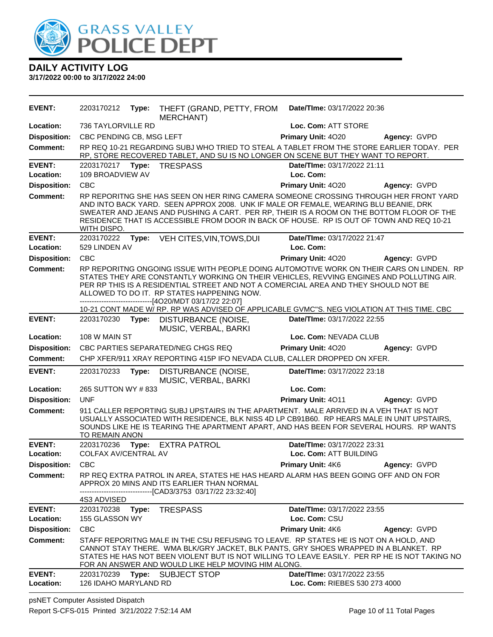

**DAILY ACTIVITY LOG 3/17/2022 00:00 to 3/17/2022 24:00**

**EVENT:** 2203170212 **Type:** THEFT (GRAND, PETTY, FROM MERCHANT) **Date/TIme:** 03/17/2022 20:36 **Location:** 736 TAYLORVILLE RD **Loc. Com:** ATT STORE **Disposition:** CBC PENDING CB, MSG LEFT **Primary Unit:** 4O20 **Agency:** GVPD **Comment:** RP REQ 10-21 REGARDING SUBJ WHO TRIED TO STEAL A TABLET FROM THE STORE EARLIER TODAY. PER RP, STORE RECOVERED TABLET, AND SU IS NO LONGER ON SCENE BUT THEY WANT TO REPORT. **EVENT:** 2203170217 **Type:** TRESPASS **Date/TIme:** 03/17/2022 21:11 **Location:** 109 BROADVIEW AV **Loc. Com: Disposition:** CBC **Primary Unit:** 4O20 **Agency:** GVPD **Comment:** RP REPORITNG SHE HAS SEEN ON HER RING CAMERA SOMEONE CROSSING THROUGH HER FRONT YARD AND INTO BACK YARD. SEEN APPROX 2008. UNK IF MALE OR FEMALE, WEARING BLU BEANIE, DRK SWEATER AND JEANS AND PUSHING A CART. PER RP, THEIR IS A ROOM ON THE BOTTOM FLOOR OF THE RESIDENCE THAT IS ACCESSIBLE FROM DOOR IN BACK OF HOUSE. RP IS OUT OF TOWN AND REQ 10-21 WITH DISPO. **EVENT:** 2203170222 **Type:** VEH CITES,VIN,TOWS,DUI **Date/TIme:** 03/17/2022 21:47 **Location:** 529 LINDEN AV **Loc. Com: Disposition:** CBC **Primary Unit:** 4O20 **Agency:** GVPD **Comment:** RP REPORITNG ONGOING ISSUE WITH PEOPLE DOING AUTOMOTIVE WORK ON THEIR CARS ON LINDEN. RP STATES THEY ARE CONSTANTLY WORKING ON THEIR VEHICLES, REVVING ENGINES AND POLLUTING AIR. PER RP THIS IS A RESIDENTIAL STREET AND NOT A COMERCIAL AREA AND THEY SHOULD NOT BE ALLOWED TO DO IT. RP STATES HAPPENING NOW. ------------------------------[4O20/MDT 03/17/22 22:07] 10-21 CONT MADE W/ RP. RP WAS ADVISED OF APPLICABLE GVMC''S. NEG VIOLATION AT THIS TIME. CBC **EVENT:** 2203170230 **Type:** DISTURBANCE (NOISE, MUSIC, VERBAL, BARKI **Date/TIme:** 03/17/2022 22:55 **Location:** 108 W MAIN ST **Loc. Com:** NEVADA CLUB **Disposition:** CBC PARTIES SEPARATED/NEG CHGS REQ **Primary Unit:** 4O20 **Agency:** GVPD **Comment:** CHP XFER/911 XRAY REPORTING 415P IFO NEVADA CLUB, CALLER DROPPED ON XFER. **EVENT:** 2203170233 **Type:** DISTURBANCE (NOISE, MUSIC, VERBAL, BARKI **Date/TIme:** 03/17/2022 23:18 **Location:** 265 SUTTON WY # 833 **Loc. Com: Disposition:** UNF **Primary Unit:** 4O11 **Agency:** GVPD **Comment:** 911 CALLER REPORTING SUBJ UPSTAIRS IN THE APARTMENT. MALE ARRIVED IN A VEH THAT IS NOT USUALLY ASSOCIATED WITH RESIDENCE, BLK NISS 4D LP CB91B60. RP HEARS MALE IN UNIT UPSTAIRS, SOUNDS LIKE HE IS TEARING THE APARTMENT APART, AND HAS BEEN FOR SEVERAL HOURS. RP WANTS TO REMAIN ANON **EVENT:** 2203170236 **Type:** EXTRA PATROL **Date/TIme:** 03/17/2022 23:31 **Location:** COLFAX AV/CENTRAL AV **Loc. Com:** ATT BUILDING **Disposition:** CBC **Primary Unit:** 4K6 **Agency:** GVPD **Comment:** RP REQ EXTRA PATROL IN AREA, STATES HE HAS HEARD ALARM HAS BEEN GOING OFF AND ON FOR APPROX 20 MINS AND ITS EARLIER THAN NORMAL ------------------------------[CAD3/3753 03/17/22 23:32:40] 4S3 ADVISED **EVENT:** 2203170238 **Type:** TRESPASS **Date/TIme:** 03/17/2022 23:55 **Location:** 155 GLASSON WY **Loc. Com:** CSU **Disposition:** CBC **Primary Unit:** 4K6 **Agency:** GVPD **Comment:** STAFF REPORITNG MALE IN THE CSU REFUSING TO LEAVE. RP STATES HE IS NOT ON A HOLD, AND CANNOT STAY THERE. WMA BLK/GRY JACKET, BLK PANTS, GRY SHOES WRAPPED IN A BLANKET. RP STATES HE HAS NOT BEEN VIOLENT BUT IS NOT WILLING TO LEAVE EASILY. PER RP HE IS NOT TAKING NO FOR AN ANSWER AND WOULD LIKE HELP MOVING HIM ALONG. **EVENT:** 2203170239 **Type:** SUBJECT STOP **Date/TIme:** 03/17/2022 23:55 **Location:** 126 IDAHO MARYLAND RD **Loc. Com:** RIEBES 530 273 4000

psNET Computer Assisted Dispatch Report S-CFS-015 Printed 3/21/2022 7:52:14 AM Page 10 of 11 Total Pages